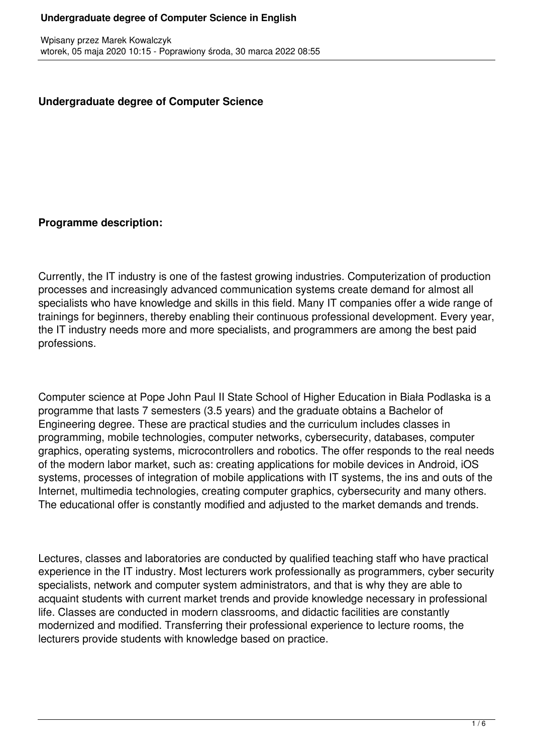### **Undergraduate degree of Computer Science**

### **Programme description:**

Currently, the IT industry is one of the fastest growing industries. Computerization of production processes and increasingly advanced communication systems create demand for almost all specialists who have knowledge and skills in this field. Many IT companies offer a wide range of trainings for beginners, thereby enabling their continuous professional development. Every year, the IT industry needs more and more specialists, and programmers are among the best paid professions.

Computer science at Pope John Paul II State School of Higher Education in Biała Podlaska is a programme that lasts 7 semesters (3.5 years) and the graduate obtains a Bachelor of Engineering degree. These are practical studies and the curriculum includes classes in programming, mobile technologies, computer networks, cybersecurity, databases, computer graphics, operating systems, microcontrollers and robotics. The offer responds to the real needs of the modern labor market, such as: creating applications for mobile devices in Android, iOS systems, processes of integration of mobile applications with IT systems, the ins and outs of the Internet, multimedia technologies, creating computer graphics, cybersecurity and many others. The educational offer is constantly modified and adjusted to the market demands and trends.

Lectures, classes and laboratories are conducted by qualified teaching staff who have practical experience in the IT industry. Most lecturers work professionally as programmers, cyber security specialists, network and computer system administrators, and that is why they are able to acquaint students with current market trends and provide knowledge necessary in professional life. Classes are conducted in modern classrooms, and didactic facilities are constantly modernized and modified. Transferring their professional experience to lecture rooms, the lecturers provide students with knowledge based on practice.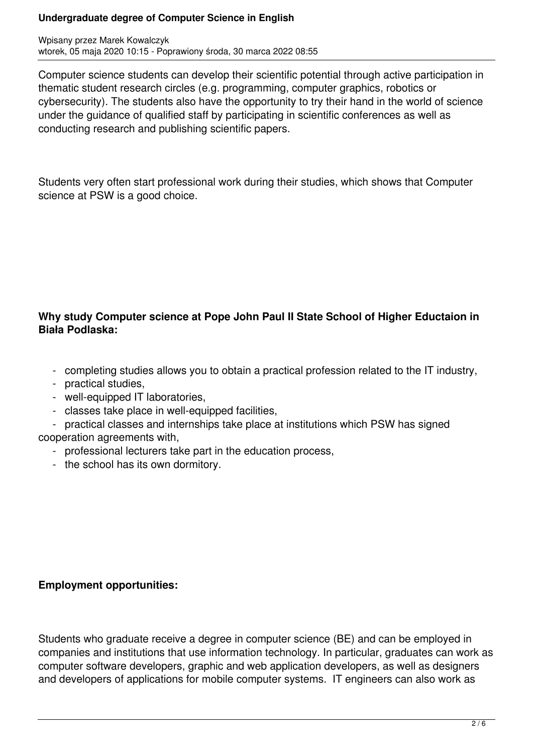#### **Undergraduate degree of Computer Science in English**

Wpisany przez Marek Kowalczyk wtorek, 05 maja 2020 10:15 - Poprawiony środa, 30 marca 2022 08:55

Computer science students can develop their scientific potential through active participation in thematic student research circles (e.g. programming, computer graphics, robotics or cybersecurity). The students also have the opportunity to try their hand in the world of science under the guidance of qualified staff by participating in scientific conferences as well as conducting research and publishing scientific papers.

Students very often start professional work during their studies, which shows that Computer science at PSW is a good choice.

# **Why study Computer science at Pope John Paul II State School of Higher Eductaion in Biała Podlaska:**

- completing studies allows you to obtain a practical profession related to the IT industry,
- practical studies,
- well-equipped IT laboratories,
- classes take place in well-equipped facilities,
- practical classes and internships take place at institutions which PSW has signed
- cooperation agreements with,
	- professional lecturers take part in the education process,
	- the school has its own dormitory.

# **Employment opportunities:**

Students who graduate receive a degree in computer science (BE) and can be employed in companies and institutions that use information technology. In particular, graduates can work as computer software developers, graphic and web application developers, as well as designers and developers of applications for mobile computer systems. IT engineers can also work as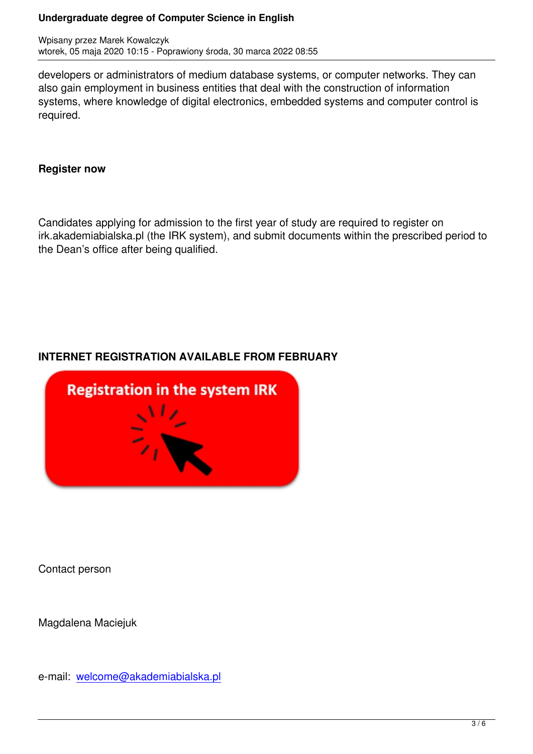developers or administrators of medium database systems, or computer networks. They can also gain employment in business entities that deal with the construction of information systems, where knowledge of digital electronics, embedded systems and computer control is required.

### **Register now**

Candidates applying for admission to the first year of study are required to register on irk.akademiabialska.pl (the IRK system), and submit documents within the prescribed period to the Dean's office after being qualified.

# **INTERNET REGISTRATION AVAILABLE FROM FEBRUARY**



Contact person

Magdalena Maciejuk

e-mail: welcome@akademiabialska.pl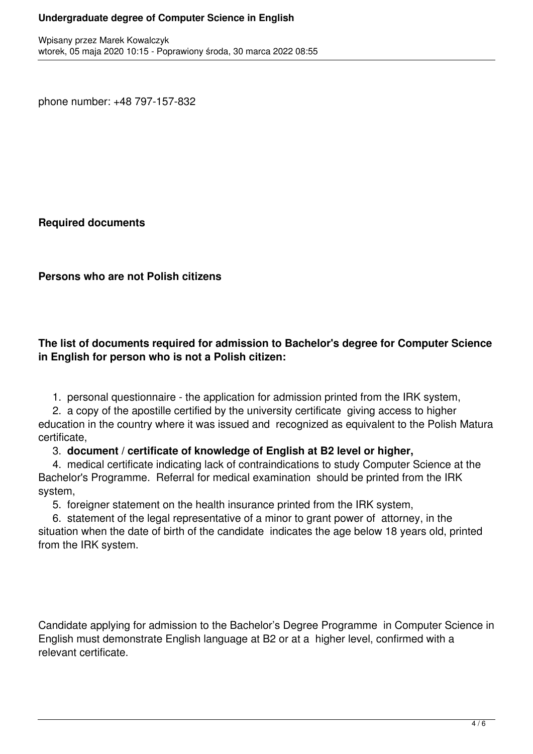phone number: +48 797-157-832

**Required documents**

**Persons who are not Polish citizens**

### **The list of documents required for admission to Bachelor's degree for Computer Science in English for person who is not a Polish citizen:**

1. personal questionnaire - the application for admission printed from the IRK system,

 2. a copy of the apostille certified by the university certificate giving access to higher education in the country where it was issued and recognized as equivalent to the Polish Matura certificate,

### 3. **document / certificate of knowledge of English at B2 level or higher,**

 4. medical certificate indicating lack of contraindications to study Computer Science at the Bachelor's Programme. Referral for medical examination should be printed from the IRK system,

5. foreigner statement on the health insurance printed from the IRK system,

 6. statement of the legal representative of a minor to grant power of attorney, in the situation when the date of birth of the candidate indicates the age below 18 years old, printed from the IRK system.

Candidate applying for admission to the Bachelor's Degree Programme in Computer Science in English must demonstrate English language at B2 or at a higher level, confirmed with a relevant certificate.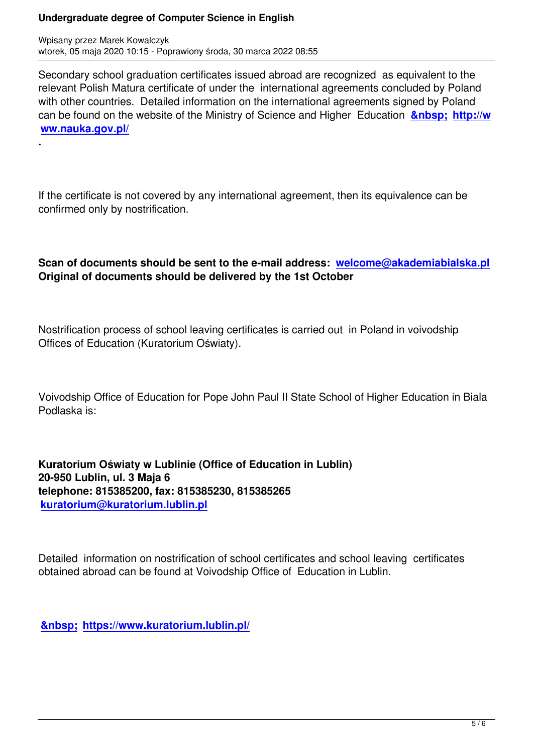**.**

Secondary school graduation certificates issued abroad are recognized as equivalent to the relevant Polish Matura certificate of under the international agreements concluded by Poland with other countries. Detailed information on the international agreements signed by Poland can be found on the website of the Ministry of Science and Higher Education **&nbsp: http://w ww.nauka.gov.pl/**

If the certificate is not covered by any international agreement, then its equivalence can be confirmed only by nostrification.

### **Scan of documents should be sent to the e-mail address: welcome@akademiabialska.pl Original of documents should be delivered by the 1st October**

Nostrification process of school leaving certificates is carried out in Poland in voivodship Offices of Education (Kuratorium Oświaty).

Voivodship Office of Education for Pope John Paul II State School of Higher Education in Biala Podlaska is:

**Kuratorium Oświaty w Lublinie (Office of Education in Lublin) 20-950 Lublin, ul. 3 Maja 6 telephone: 815385200, fax: 815385230, 815385265 kuratorium@kuratorium.lublin.pl**

[Detailed information on nostrificatio](mailto:kuratorium@kuratorium.lublin.pl)n of school certificates and school leaving certificates obtained abroad can be found at Voivodship Office of Education in Lublin.

 **https://www.kuratorium.lublin.pl/**